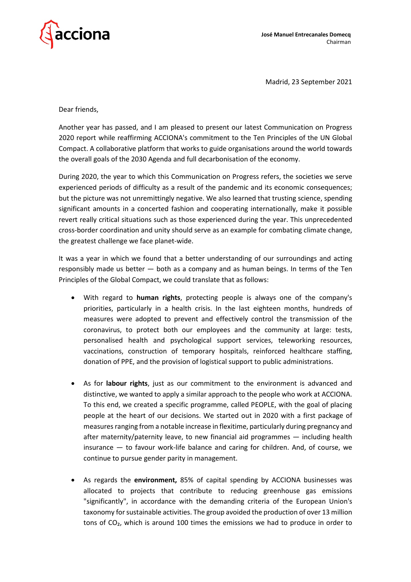

Madrid, 23 September 2021

Dear friends,

Another year has passed, and I am pleased to present our latest Communication on Progress 2020 report while reaffirming ACCIONA's commitment to the Ten Principles of the UN Global Compact. A collaborative platform that works to guide organisations around the world towards the overall goals of the 2030 Agenda and full decarbonisation of the economy.

During 2020, the year to which this Communication on Progress refers, the societies we serve experienced periods of difficulty as a result of the pandemic and its economic consequences; but the picture was not unremittingly negative. We also learned that trusting science, spending significant amounts in a concerted fashion and cooperating internationally, make it possible revert really critical situations such as those experienced during the year. This unprecedented cross-border coordination and unity should serve as an example for combating climate change, the greatest challenge we face planet-wide.

It was a year in which we found that a better understanding of our surroundings and acting responsibly made us better — both as a company and as human beings. In terms of the Ten Principles of the Global Compact, we could translate that as follows:

- With regard to **human rights**, protecting people is always one of the company's priorities, particularly in a health crisis. In the last eighteen months, hundreds of measures were adopted to prevent and effectively control the transmission of the coronavirus, to protect both our employees and the community at large: tests, personalised health and psychological support services, teleworking resources, vaccinations, construction of temporary hospitals, reinforced healthcare staffing, donation of PPE, and the provision of logistical support to public administrations.
- As for **labour rights**, just as our commitment to the environment is advanced and distinctive, we wanted to apply a similar approach to the people who work at ACCIONA. To this end, we created a specific programme, called PEOPLE, with the goal of placing people at the heart of our decisions. We started out in 2020 with a first package of measures ranging from a notable increase in flexitime, particularly during pregnancy and after maternity/paternity leave, to new financial aid programmes — including health insurance — to favour work-life balance and caring for children. And, of course, we continue to pursue gender parity in management.
- As regards the **environment,** 85% of capital spending by ACCIONA businesses was allocated to projects that contribute to reducing greenhouse gas emissions "significantly", in accordance with the demanding criteria of the European Union's taxonomy for sustainable activities. The group avoided the production of over 13 million tons of CO₂, which is around 100 times the emissions we had to produce in order to